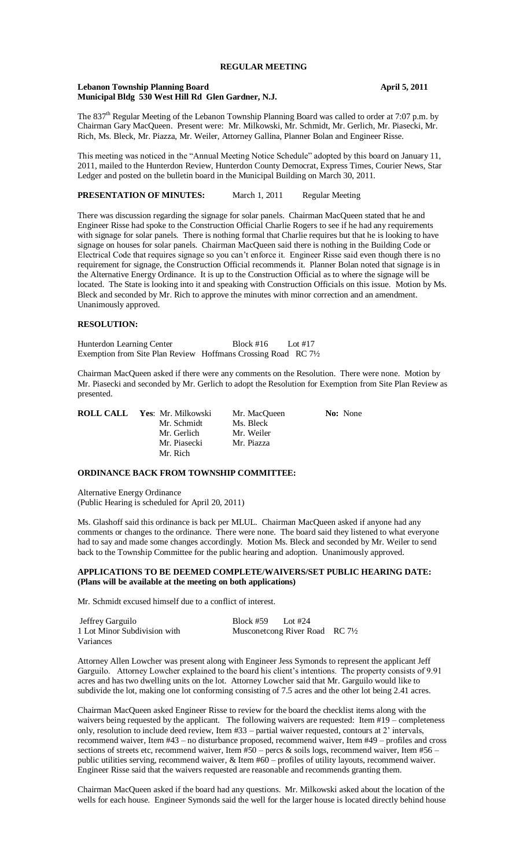# **REGULAR MEETING**

# Lebanon Township Planning Board **April 5, 2011 Municipal Bldg 530 West Hill Rd Glen Gardner, N.J.**

The 837<sup>th</sup> Regular Meeting of the Lebanon Township Planning Board was called to order at 7:07 p.m. by Chairman Gary MacQueen. Present were: Mr. Milkowski, Mr. Schmidt, Mr. Gerlich, Mr. Piasecki, Mr. Rich, Ms. Bleck, Mr. Piazza, Mr. Weiler, Attorney Gallina, Planner Bolan and Engineer Risse.

This meeting was noticed in the "Annual Meeting Notice Schedule" adopted by this board on January 11, 2011, mailed to the Hunterdon Review, Hunterdon County Democrat, Express Times, Courier News, Star Ledger and posted on the bulletin board in the Municipal Building on March 30, 2011.

| <b>PRESENTATION OF MINUTES:</b> | March 1, 2011 | <b>Regular Meeting</b> |
|---------------------------------|---------------|------------------------|
|                                 |               |                        |

There was discussion regarding the signage for solar panels. Chairman MacQueen stated that he and Engineer Risse had spoke to the Construction Official Charlie Rogers to see if he had any requirements with signage for solar panels. There is nothing formal that Charlie requires but that he is looking to have signage on houses for solar panels. Chairman MacQueen said there is nothing in the Building Code or Electrical Code that requires signage so you can't enforce it. Engineer Risse said even though there is no requirement for signage, the Construction Official recommends it. Planner Bolan noted that signage is in the Alternative Energy Ordinance. It is up to the Construction Official as to where the signage will be located. The State is looking into it and speaking with Construction Officials on this issue. Motion by Ms. Bleck and seconded by Mr. Rich to approve the minutes with minor correction and an amendment. Unanimously approved.

# **RESOLUTION:**

Hunterdon Learning Center Block #16 Lot #17 Exemption from Site Plan Review Hoffmans Crossing Road RC 7½

Chairman MacQueen asked if there were any comments on the Resolution. There were none. Motion by Mr. Piasecki and seconded by Mr. Gerlich to adopt the Resolution for Exemption from Site Plan Review as presented.

| <b>ROLL CALL Yes:</b> Mr. Milkowski | Mr. MacQueen | <b>No:</b> None |
|-------------------------------------|--------------|-----------------|
| Mr. Schmidt                         | Ms. Bleck    |                 |
| Mr. Gerlich                         | Mr. Weiler   |                 |
| Mr. Piasecki                        | Mr. Piazza   |                 |
| Mr. Rich                            |              |                 |

# **ORDINANCE BACK FROM TOWNSHIP COMMITTEE:**

Alternative Energy Ordinance (Public Hearing is scheduled for April 20, 2011)

Ms. Glashoff said this ordinance is back per MLUL. Chairman MacQueen asked if anyone had any comments or changes to the ordinance. There were none. The board said they listened to what everyone had to say and made some changes accordingly. Motion Ms. Bleck and seconded by Mr. Weiler to send back to the Township Committee for the public hearing and adoption. Unanimously approved.

# **APPLICATIONS TO BE DEEMED COMPLETE/WAIVERS/SET PUBLIC HEARING DATE: (Plans will be available at the meeting on both applications)**

Mr. Schmidt excused himself due to a conflict of interest.

| Jeffrey Garguilo             | Block #59 | Lot #24                         |  |
|------------------------------|-----------|---------------------------------|--|
| 1 Lot Minor Subdivision with |           | Musconetcong River Road RC 71/2 |  |
| Variances                    |           |                                 |  |

Attorney Allen Lowcher was present along with Engineer Jess Symonds to represent the applicant Jeff Garguilo. Attorney Lowcher explained to the board his client's intentions. The property consists of 9.91 acres and has two dwelling units on the lot. Attorney Lowcher said that Mr. Garguilo would like to subdivide the lot, making one lot conforming consisting of 7.5 acres and the other lot being 2.41 acres.

Chairman MacQueen asked Engineer Risse to review for the board the checklist items along with the waivers being requested by the applicant. The following waivers are requested: Item #19 – completeness only, resolution to include deed review, Item #33 – partial waiver requested, contours at 2' intervals, recommend waiver, Item #43 – no disturbance proposed, recommend waiver, Item #49 – profiles and cross sections of streets etc, recommend waiver, Item #50 – percs & soils logs, recommend waiver, Item #56 – public utilities serving, recommend waiver, & Item #60 – profiles of utility layouts, recommend waiver. Engineer Risse said that the waivers requested are reasonable and recommends granting them.

Chairman MacQueen asked if the board had any questions. Mr. Milkowski asked about the location of the wells for each house. Engineer Symonds said the well for the larger house is located directly behind house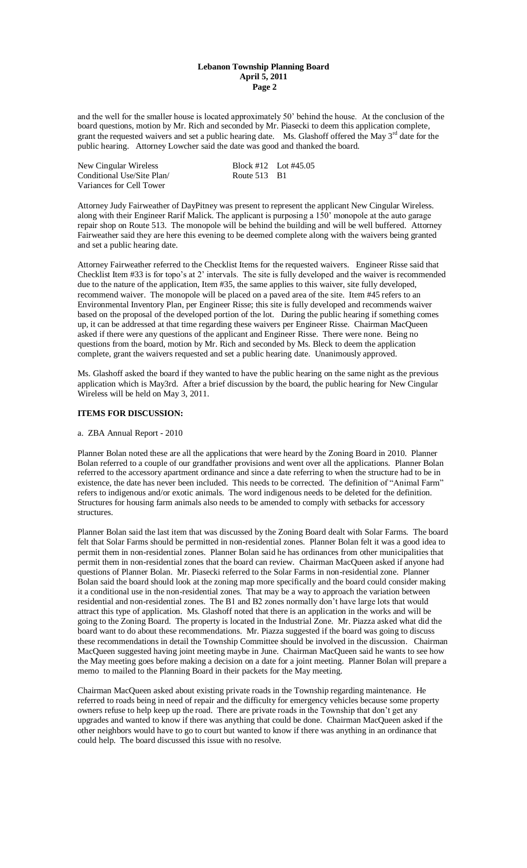## **Lebanon Township Planning Board April 5, 2011 Page 2**

and the well for the smaller house is located approximately 50' behind the house. At the conclusion of the board questions, motion by Mr. Rich and seconded by Mr. Piasecki to deem this application complete, grant the requested waivers and set a public hearing date. Ms. Glashoff offered the May 3<sup>rd</sup> date for the public hearing. Attorney Lowcher said the date was good and thanked the board.

| New Cingular Wireless      |              | Block #12 Lot #45.05 |
|----------------------------|--------------|----------------------|
| Conditional Use/Site Plan/ | Route 513 B1 |                      |
| Variances for Cell Tower   |              |                      |

Attorney Judy Fairweather of DayPitney was present to represent the applicant New Cingular Wireless. along with their Engineer Rarif Malick. The applicant is purposing a 150' monopole at the auto garage repair shop on Route 513. The monopole will be behind the building and will be well buffered. Attorney Fairweather said they are here this evening to be deemed complete along with the waivers being granted and set a public hearing date.

Attorney Fairweather referred to the Checklist Items for the requested waivers. Engineer Risse said that Checklist Item #33 is for topo's at 2' intervals. The site is fully developed and the waiver is recommended due to the nature of the application, Item #35, the same applies to this waiver, site fully developed, recommend waiver. The monopole will be placed on a paved area of the site. Item #45 refers to an Environmental Inventory Plan, per Engineer Risse; this site is fully developed and recommends waiver based on the proposal of the developed portion of the lot. During the public hearing if something comes up, it can be addressed at that time regarding these waivers per Engineer Risse. Chairman MacQueen asked if there were any questions of the applicant and Engineer Risse. There were none. Being no questions from the board, motion by Mr. Rich and seconded by Ms. Bleck to deem the application complete, grant the waivers requested and set a public hearing date. Unanimously approved.

Ms. Glashoff asked the board if they wanted to have the public hearing on the same night as the previous application which is May3rd. After a brief discussion by the board, the public hearing for New Cingular Wireless will be held on May 3, 2011.

# **ITEMS FOR DISCUSSION:**

# a. ZBA Annual Report - 2010

Planner Bolan noted these are all the applications that were heard by the Zoning Board in 2010. Planner Bolan referred to a couple of our grandfather provisions and went over all the applications. Planner Bolan referred to the accessory apartment ordinance and since a date referring to when the structure had to be in existence, the date has never been included. This needs to be corrected. The definition of "Animal Farm" refers to indigenous and/or exotic animals. The word indigenous needs to be deleted for the definition. Structures for housing farm animals also needs to be amended to comply with setbacks for accessory structures.

Planner Bolan said the last item that was discussed by the Zoning Board dealt with Solar Farms. The board felt that Solar Farms should be permitted in non-residential zones. Planner Bolan felt it was a good idea to permit them in non-residential zones. Planner Bolan said he has ordinances from other municipalities that permit them in non-residential zones that the board can review. Chairman MacQueen asked if anyone had questions of Planner Bolan. Mr. Piasecki referred to the Solar Farms in non-residential zone. Planner Bolan said the board should look at the zoning map more specifically and the board could consider making it a conditional use in the non-residential zones. That may be a way to approach the variation between residential and non-residential zones. The B1 and B2 zones normally don't have large lots that would attract this type of application. Ms. Glashoff noted that there is an application in the works and will be going to the Zoning Board. The property is located in the Industrial Zone. Mr. Piazza asked what did the board want to do about these recommendations. Mr. Piazza suggested if the board was going to discuss these recommendations in detail the Township Committee should be involved in the discussion. Chairman MacQueen suggested having joint meeting maybe in June. Chairman MacQueen said he wants to see how the May meeting goes before making a decision on a date for a joint meeting. Planner Bolan will prepare a memo to mailed to the Planning Board in their packets for the May meeting.

Chairman MacQueen asked about existing private roads in the Township regarding maintenance. He referred to roads being in need of repair and the difficulty for emergency vehicles because some property owners refuse to help keep up the road. There are private roads in the Township that don't get any upgrades and wanted to know if there was anything that could be done. Chairman MacQueen asked if the other neighbors would have to go to court but wanted to know if there was anything in an ordinance that could help. The board discussed this issue with no resolve.